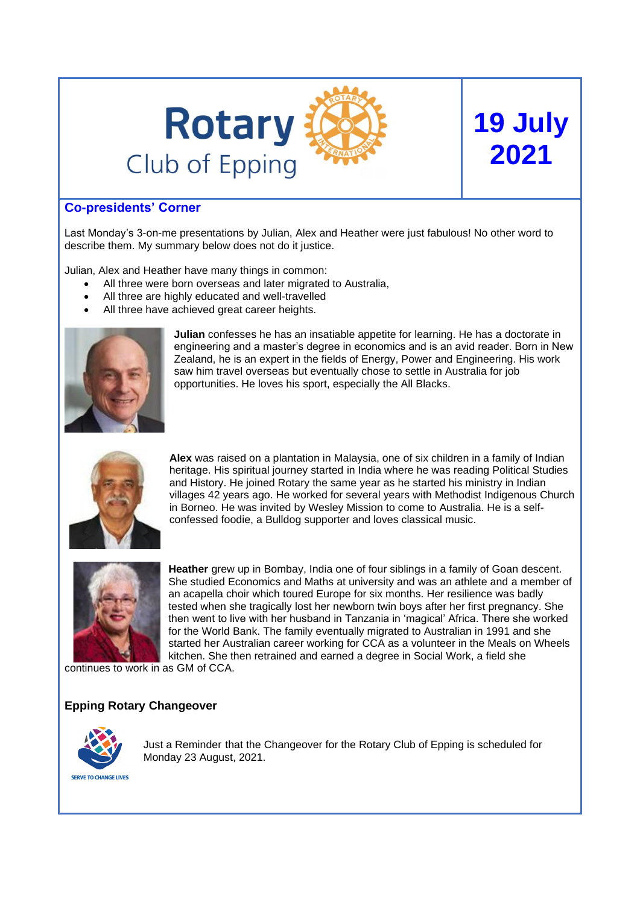

# **Co-presidents' Corner**

Last Monday's 3-on-me presentations by Julian, Alex and Heather were just fabulous! No other word to describe them. My summary below does not do it justice.

Julian, Alex and Heather have many things in common:

- All three were born overseas and later migrated to Australia.
- All three are highly educated and well-travelled
- All three have achieved great career heights.



**Julian** confesses he has an insatiable appetite for learning. He has a doctorate in engineering and a master's degree in economics and is an avid reader. Born in New Zealand, he is an expert in the fields of Energy, Power and Engineering. His work saw him travel overseas but eventually chose to settle in Australia for job opportunities. He loves his sport, especially the All Blacks.

**19 July**

**2021**



**Alex** was raised on a plantation in Malaysia, one of six children in a family of Indian heritage. His spiritual journey started in India where he was reading Political Studies and History. He joined Rotary the same year as he started his ministry in Indian villages 42 years ago. He worked for several years with Methodist Indigenous Church in Borneo. He was invited by Wesley Mission to come to Australia. He is a selfconfessed foodie, a Bulldog supporter and loves classical music.



**Heather** grew up in Bombay, India one of four siblings in a family of Goan descent. She studied Economics and Maths at university and was an athlete and a member of an acapella choir which toured Europe for six months. Her resilience was badly tested when she tragically lost her newborn twin boys after her first pregnancy. She then went to live with her husband in Tanzania in 'magical' Africa. There she worked for the World Bank. The family eventually migrated to Australian in 1991 and she started her Australian career working for CCA as a volunteer in the Meals on Wheels kitchen. She then retrained and earned a degree in Social Work, a field she

continues to work in as GM of CCA.

## **Epping Rotary Changeover**



Just a Reminder that the Changeover for the Rotary Club of Epping is scheduled for Monday 23 August, 2021.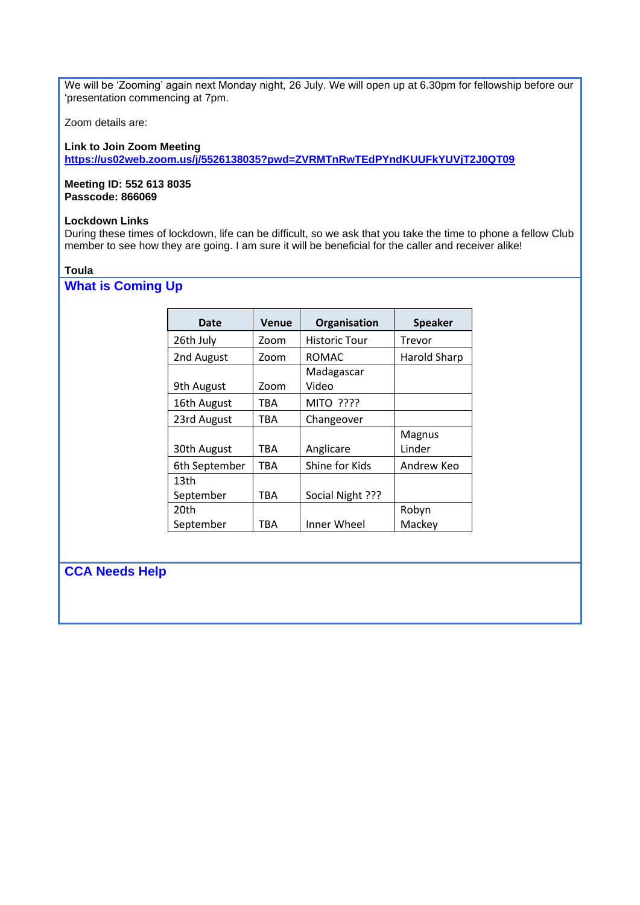We will be 'Zooming' again next Monday night, 26 July. We will open up at 6.30pm for fellowship before our 'presentation commencing at 7pm.

Zoom details are:

## **Link to Join Zoom Meeting**

**<https://us02web.zoom.us/j/5526138035?pwd=ZVRMTnRwTEdPYndKUUFkYUVjT2J0QT09>**

#### **Meeting ID: 552 613 8035 Passcode: 866069**

## **Lockdown Links**

During these times of lockdown, life can be difficult, so we ask that you take the time to phone a fellow Club member to see how they are going. I am sure it will be beneficial for the caller and receiver alike!

### **Toula**

# **What is Coming Up**

| Date              | Venue      | Organisation         | <b>Speaker</b>      |
|-------------------|------------|----------------------|---------------------|
| 26th July         | Zoom       | <b>Historic Tour</b> | Trevor              |
| 2nd August        | Zoom       | ROMAC                | <b>Harold Sharp</b> |
| 9th August        | Zoom       | Madagascar<br>Video  |                     |
| 16th August       | TBA        | <b>MITO ????</b>     |                     |
| 23rd August       | TBA        | Changeover           |                     |
| 30th August       | TBA        | Anglicare            | Magnus<br>Linder    |
| 6th September     | <b>TBA</b> | Shine for Kids       | Andrew Keo          |
| 13th<br>September | TBA        | Social Night ???     |                     |
| 20th              |            |                      | Robyn               |
| September         | TBA        | Inner Wheel          | Mackey              |

## **CCA Needs Help**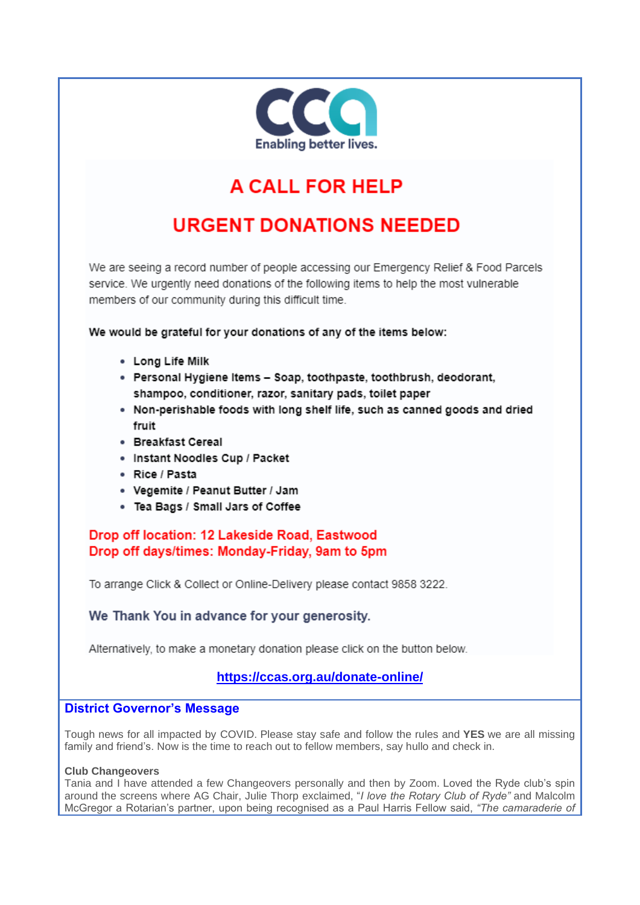

# A CALL FOR HELP

# **URGENT DONATIONS NEEDED**

We are seeing a record number of people accessing our Emergency Relief & Food Parcels service. We urgently need donations of the following items to help the most vulnerable members of our community during this difficult time.

We would be grateful for your donations of any of the items below:

- Long Life Milk
- · Personal Hygiene Items Soap, toothpaste, toothbrush, deodorant, shampoo, conditioner, razor, sanitary pads, toilet paper
- . Non-perishable foods with long shelf life, such as canned goods and dried fruit
- · Breakfast Cereal
- · Instant Noodles Cup / Packet
- Rice / Pasta
- Vegemite / Peanut Butter / Jam
- Tea Bags / Small Jars of Coffee

Drop off location: 12 Lakeside Road, Eastwood Drop off days/times: Monday-Friday, 9am to 5pm

To arrange Click & Collect or Online-Delivery please contact 9858 3222.

We Thank You in advance for your generosity.

Alternatively, to make a monetary donation please click on the button below.

## https://ccas.org.au/donate-online/

## **District Governor's Message**

Tough news for all impacted by COVID. Please stay safe and follow the rules and YES we are all missing family and friend's. Now is the time to reach out to fellow members, say hullo and check in.

## **Club Changeovers**

Tania and I have attended a few Changeovers personally and then by Zoom. Loved the Ryde club's spin around the screens where AG Chair, Julie Thorp exclaimed, "I love the Rotary Club of Ryde" and Malcolm McGregor a Rotarian's partner, upon being recognised as a Paul Harris Fellow said, "The camaraderie of